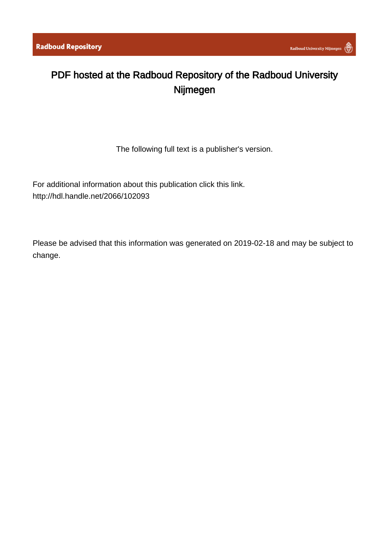# PDF hosted at the Radboud Repository of the Radboud University Nijmegen

The following full text is a publisher's version.

For additional information about this publication click this link. <http://hdl.handle.net/2066/102093>

Please be advised that this information was generated on 2019-02-18 and may be subject to change.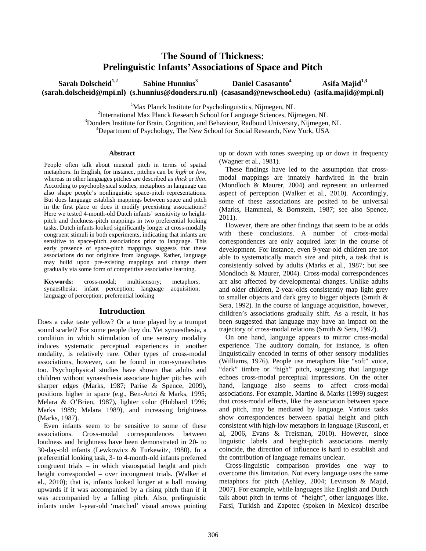# **The Sound of Thickness: Prelinguistic Infants' Associations of Space and Pitch**

Sarah Dolscheid<sup>1,2</sup> Sabine Hunnius<sup>3</sup> **Daniel Casasanto<sup>4</sup> Asifa Majid<sup>1,3</sup> (sarah.dolscheid@mpi.nl) (s.hunnius@donders.ru.nl) (casasand@newschool.edu) (asifa.majid@mpi.nl)** 

<sup>1</sup>Max Planck Institute for Psycholinguistics, Nijmegen, NL<br><sup>2</sup>International May Planck Research Sebest for Lemmas Science, Nij

<sup>2</sup>International Max Planck Research School for Language Sciences, Nijmegen, NL <sup>3</sup>Donders Institute for Brain, Cognition, and Behaviour, Radboud University, Nijmegen, NL <sup>4</sup>Department of Psychology, The New School for Social Research, New York, USA

#### **Abstract**

People often talk about musical pitch in terms of spatial metaphors. In English, for instance, pitches can be *high* or *low*, whereas in other languages pitches are described as *thick* or *thin*. According to psychophysical studies, metaphors in language can also shape people's nonlinguistic space-pitch representations. But does language establish mappings between space and pitch in the first place or does it modify preexisting associations? Here we tested 4-month-old Dutch infants' sensitivity to heightpitch and thickness-pitch mappings in two preferential looking tasks. Dutch infants looked significantly longer at cross-modally congruent stimuli in both experiments, indicating that infants are sensitive to space-pitch associations prior to language. This early presence of space-pitch mappings suggests that these associations do not originate from language. Rather, language may build upon pre-existing mappings and change them gradually via some form of competitive associative learning.

**Keywords:** cross-modal; multisensory; metaphors; synaesthesia; infant perception; language acquisition; language of perception; preferential looking

#### **Introduction**

Does a cake taste yellow? Or a tone played by a trumpet sound scarlet? For some people they do. Yet synaesthesia, a condition in which stimulation of one sensory modality induces systematic perceptual experiences in another modality, is relatively rare. Other types of cross-modal associations, however, can be found in non-synaesthetes too. Psychophysical studies have shown that adults and children without synaesthesia associate higher pitches with sharper edges (Marks, 1987; Parise & Spence, 2009), positions higher in space (e.g., Ben-Artzi & Marks, 1995; Melara & O'Brien, 1987), lighter color (Hubbard 1996; Marks 1989; Melara 1989), and increasing brightness (Marks, 1987).

Even infants seem to be sensitive to some of these associations. Cross-modal correspondences between loudness and brightness have been demonstrated in 20- to 30-day-old infants (Lewkowicz & Turkewitz, 1980). In a preferential looking task, 3- to 4-month-old infants preferred congruent trials – in which visuospatial height and pitch height corresponded – over incongruent trials. (Walker et al., 2010); that is, infants looked longer at a ball moving upwards if it was accompanied by a rising pitch than if it was accompanied by a falling pitch. Also, prelinguistic infants under 1-year-old 'matched' visual arrows pointing

up or down with tones sweeping up or down in frequency (Wagner et al., 1981).

These findings have led to the assumption that crossmodal mappings are innately hardwired in the brain (Mondloch & Maurer, 2004) and represent an unlearned aspect of perception (Walker et al., 2010). Accordingly, some of these associations are posited to be universal (Marks, Hammeal, & Bornstein, 1987; see also Spence, 2011).

However, there are other findings that seem to be at odds with these conclusions. A number of cross-modal correspondences are only acquired later in the course of development. For instance, even 9-year-old children are not able to systematically match size and pitch, a task that is consistently solved by adults (Marks et al., 1987; but see Mondloch & Maurer, 2004). Cross-modal correspondences are also affected by developmental changes. Unlike adults and older children, 2-year-olds consistently map light grey to smaller objects and dark grey to bigger objects (Smith & Sera, 1992). In the course of language acquisition, however, children's associations gradually shift. As a result, it has been suggested that language may have an impact on the trajectory of cross-modal relations (Smith & Sera, 1992).

On one hand, language appears to mirror cross-modal experience. The auditory domain, for instance, is often linguistically encoded in terms of other sensory modalities (Williams, 1976). People use metaphors like "soft" voice, "dark" timbre or "high" pitch, suggesting that language echoes cross-modal perceptual impressions. On the other hand, language also seems to affect cross-modal associations. For example, Martino & Marks (1999) suggest that cross-modal effects, like the association between space and pitch, may be mediated by language. Various tasks show correspondences between spatial height and pitch consistent with high-low metaphors in language (Rusconi, et al, 2006, Evans & Treisman, 2010). However, since linguistic labels and height-pitch associations merely coincide, the direction of influence is hard to establish and the contribution of language remains unclear.

Cross-linguistic comparison provides one way to overcome this limitation. Not every language uses the same metaphors for pitch (Ashley, 2004; Levinson & Majid, 2007). For example, while languages like English and Dutch talk about pitch in terms of "height", other languages like, Farsi, Turkish and Zapotec (spoken in Mexico) describe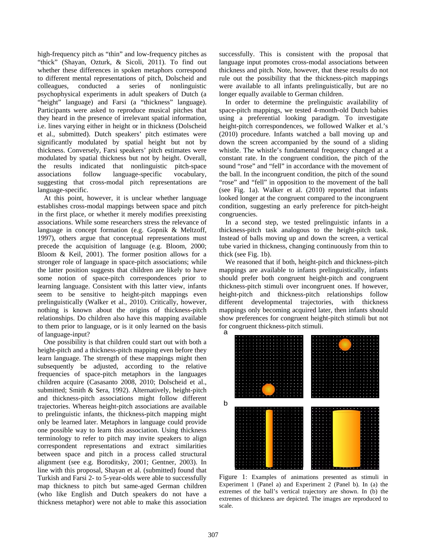high-frequency pitch as "thin" and low-frequency pitches as "thick" (Shayan, Ozturk, & Sicoli, 2011). To find out whether these differences in spoken metaphors correspond to different mental representations of pitch, Dolscheid and colleagues, conducted a series of nonlinguistic psychophysical experiments in adult speakers of Dutch (a "height" language) and Farsi (a "thickness" language). Participants were asked to reproduce musical pitches that they heard in the presence of irrelevant spatial information, i.e. lines varying either in height or in thickness (Dolscheid et al., submitted). Dutch speakers' pitch estimates were significantly modulated by spatial height but not by thickness. Conversely, Farsi speakers' pitch estimates were modulated by spatial thickness but not by height. Overall, the results indicated that nonlinguistic pitch-space associations follow language-specific vocabulary, suggesting that cross-modal pitch representations are language-specific.

At this point, however, it is unclear whether language establishes cross-modal mappings between space and pitch in the first place, or whether it merely modifies preexisting associations. While some researchers stress the relevance of language in concept formation (e.g. Gopnik & Meltzoff, 1997), others argue that conceptual representations must precede the acquisition of language (e.g. Bloom, 2000; Bloom & Keil, 2001). The former position allows for a stronger role of language in space-pitch associations; while the latter position suggests that children are likely to have some notion of space-pitch correspondences prior to learning language. Consistent with this latter view, infants seem to be sensitive to height-pitch mappings even prelinguistically (Walker et al., 2010). Critically, however, nothing is known about the origins of thickness-pitch relationships. Do children also have this mapping available to them prior to language, or is it only learned on the basis of language-input?

One possibility is that children could start out with both a height-pitch and a thickness-pitch mapping even before they learn language. The strength of these mappings might then subsequently be adjusted, according to the relative frequencies of space-pitch metaphors in the languages children acquire (Casasanto 2008, 2010; Dolscheid et al., submitted; Smith & Sera, 1992). Alternatively, height-pitch and thickness-pitch associations might follow different trajectories. Whereas height-pitch associations are available to prelinguistic infants, the thickness-pitch mapping might only be learned later. Metaphors in language could provide one possible way to learn this association. Using thickness terminology to refer to pitch may invite speakers to align correspondent representations and extract similarities between space and pitch in a process called structural alignment (see e.g. Boroditsky, 2001; Gentner, 2003). In line with this proposal, Shayan et al. (submitted) found that Turkish and Farsi 2- to 5-year-olds were able to successfully map thickness to pitch but same-aged German children (who like English and Dutch speakers do not have a thickness metaphor) were not able to make this association

successfully. This is consistent with the proposal that language input promotes cross-modal associations between thickness and pitch. Note, however, that these results do not rule out the possibility that the thickness-pitch mappings were available to all infants prelinguistically, but are no longer equally available to German children.

In order to determine the prelinguistic availability of space-pitch mappings, we tested 4-month-old Dutch babies using a preferential looking paradigm. To investigate height-pitch correspondences, we followed Walker et al.'s (2010) procedure. Infants watched a ball moving up and down the screen accompanied by the sound of a sliding whistle. The whistle's fundamental frequency changed at a constant rate. In the congruent condition, the pitch of the sound "rose" and "fell" in accordance with the movement of the ball. In the incongruent condition, the pitch of the sound "rose" and "fell" in opposition to the movement of the ball (see Fig. 1a). Walker et al. (2010) reported that infants looked longer at the congruent compared to the incongruent condition, suggesting an early preference for pitch-height congruencies.

In a second step, we tested prelinguistic infants in a thickness-pitch task analogous to the height-pitch task. Instead of balls moving up and down the screen, a vertical tube varied in thickness, changing continuously from thin to thick (see Fig. 1b).

We reasoned that if both, height-pitch and thickness-pitch mappings are available to infants prelinguistically, infants should prefer both congruent height-pitch and congruent thickness-pitch stimuli over incongruent ones. If however, height-pitch and thickness-pitch relationships follow different developmental trajectories, with thickness mappings only becoming acquired later, then infants should show preferences for congruent height-pitch stimuli but not for congruent thickness-pitch stimuli.



Figure 1: Examples of animations presented as stimuli in Experiment 1 (Panel a) and Experiment 2 (Panel b). In (a) the extremes of the ball's vertical trajectory are shown. In (b) the extremes of thickness are depicted. The images are reproduced to scale.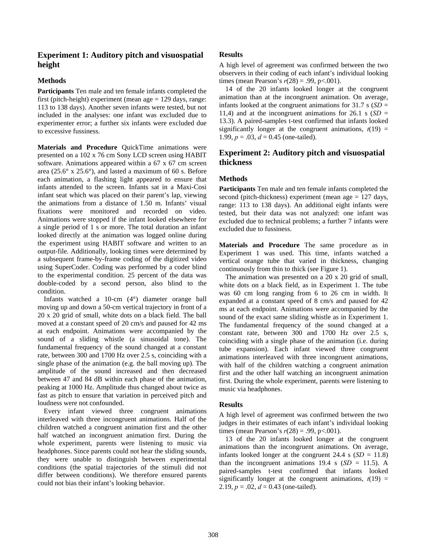# **Experiment 1: Auditory pitch and visuospatial height**

#### **Methods**

**Participants** Ten male and ten female infants completed the first (pitch-height) experiment (mean age  $= 129$  days, range: 113 to 138 days). Another seven infants were tested, but not included in the analyses: one infant was excluded due to experimenter error; a further six infants were excluded due to excessive fussiness.

**Materials and Procedure** QuickTime animations were presented on a 102 x 76 cm Sony LCD screen using HABIT software. Animations appeared within a 67 x 67 cm screen area (25.6° x 25.6°), and lasted a maximum of 60 s. Before each animation, a flashing light appeared to ensure that infants attended to the screen. Infants sat in a Maxi-Cosi infant seat which was placed on their parent's lap, viewing the animations from a distance of 1.50 m. Infants' visual fixations were monitored and recorded on video. Animations were stopped if the infant looked elsewhere for a single period of 1 s or more. The total duration an infant looked directly at the animation was logged online during the experiment using HABIT software and written to an output-file. Additionally, looking times were determined by a subsequent frame-by-frame coding of the digitized video using SuperCoder. Coding was performed by a coder blind to the experimental condition. 25 percent of the data was double-coded by a second person, also blind to the condition.

Infants watched a 10-cm (4°) diameter orange ball moving up and down a 50-cm vertical trajectory in front of a 20 x 20 grid of small, white dots on a black field. The ball moved at a constant speed of 20 cm/s and paused for 42 ms at each endpoint. Animations were accompanied by the sound of a sliding whistle (a sinusoidal tone). The fundamental frequency of the sound changed at a constant rate, between 300 and 1700 Hz over 2.5 s, coinciding with a single phase of the animation (e.g. the ball moving up). The amplitude of the sound increased and then decreased between 47 and 84 dB within each phase of the animation, peaking at 1000 Hz. Amplitude thus changed about twice as fast as pitch to ensure that variation in perceived pitch and loudness were not confounded.

Every infant viewed three congruent animations interleaved with three incongruent animations. Half of the children watched a congruent animation first and the other half watched an incongruent animation first. During the whole experiment, parents were listening to music via headphones. Since parents could not hear the sliding sounds, they were unable to distinguish between experimental conditions (the spatial trajectories of the stimuli did not differ between conditions). We therefore ensured parents could not bias their infant's looking behavior.

#### **Results**

A high level of agreement was confirmed between the two observers in their coding of each infant's individual looking times (mean Pearson's  $r(28) = .99$ , p<.001).

14 of the 20 infants looked longer at the congruent animation than at the incongruent animation. On average, infants looked at the congruent animations for  $31.7 \text{ s}$  (*SD* = 11,4) and at the incongruent animations for  $26.1 \text{ s}$  (*SD* = 13.3). A paired-samples t-test confirmed that infants looked significantly longer at the congruent animations,  $t(19)$  = 1.99,  $p = .03$ ,  $d = 0.45$  (one-tailed).

# **Experiment 2: Auditory pitch and visuospatial thickness**

#### **Methods**

**Participants** Ten male and ten female infants completed the second (pitch-thickness) experiment (mean age = 127 days, range: 113 to 138 days). An additional eight infants were tested, but their data was not analyzed: one infant was excluded due to technical problems; a further 7 infants were excluded due to fussiness.

**Materials and Procedure** The same procedure as in Experiment 1 was used. This time, infants watched a vertical orange tube that varied in thickness, changing continuously from thin to thick (see Figure 1).

The animation was presented on a 20 x 20 grid of small, white dots on a black field, as in Experiment 1. The tube was 60 cm long ranging from 6 to 26 cm in width. It expanded at a constant speed of 8 cm/s and paused for 42 ms at each endpoint. Animations were accompanied by the sound of the exact same sliding whistle as in Experiment 1. The fundamental frequency of the sound changed at a constant rate, between 300 and 1700 Hz over 2.5 s, coinciding with a single phase of the animation (i.e. during tube expansion). Each infant viewed three congruent animations interleaved with three incongruent animations, with half of the children watching a congruent animation first and the other half watching an incongruent animation first. During the whole experiment, parents were listening to music via headphones.

#### **Results**

A high level of agreement was confirmed between the two judges in their estimates of each infant's individual looking times (mean Pearson's *r*(28) = .99, p<.001).

13 of the 20 infants looked longer at the congruent animations than the incongruent animations. On average, infants looked longer at the congruent  $24.4 \text{ s } (SD = 11.8)$ than the incongruent animations  $19.4 \text{ s}$  (*SD* = 11.5). A paired-samples t-test confirmed that infants looked significantly longer at the congruent animations,  $t(19)$  = 2.19,  $p = .02$ ,  $d = 0.43$  (one-tailed).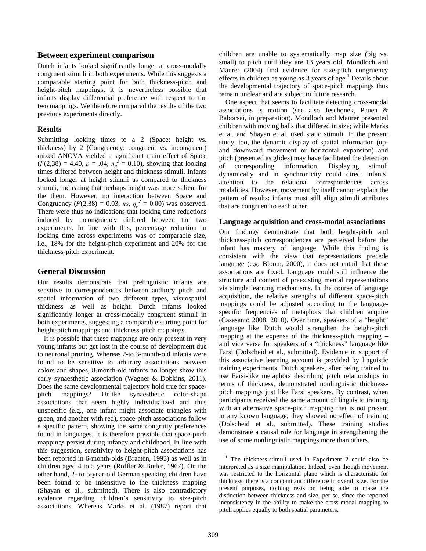#### **Between experiment comparison**

Dutch infants looked significantly longer at cross-modally congruent stimuli in both experiments. While this suggests a comparable starting point for both thickness-pitch and height-pitch mappings, it is nevertheless possible that infants display differential preference with respect to the two mappings. We therefore compared the results of the two previous experiments directly.

#### **Results**

Submitting looking times to a 2 (Space: height vs. thickness) by 2 (Congruency: congruent vs. incongruent) mixed ANOVA yielded a significant main effect of Space  $(F(2,38) = 4.40, p = .04, \eta_p^2 = 0.10)$ , showing that looking times differed between height and thickness stimuli. Infants looked longer at height stimuli as compared to thickness stimuli, indicating that perhaps height was more salient for the them. However, no interaction between Space and Congruency ( $F(2,38) = 0.03$ , *ns*,  $\eta_p^2 = 0.00$ ) was observed. There were thus no indications that looking time reductions induced by incongruency differed between the two experiments. In line with this, percentage reduction in looking time across experiments was of comparable size, i.e., 18% for the height-pitch experiment and 20% for the thickness-pitch experiment.

#### **General Discussion**

Our results demonstrate that prelinguistic infants are sensitive to correspondences between auditory pitch and spatial information of two different types, visuospatial thickness as well as height. Dutch infants looked significantly longer at cross-modally congruent stimuli in both experiments, suggesting a comparable starting point for height-pitch mappings and thickness-pitch mappings.

It is possible that these mappings are only present in very young infants but get lost in the course of development due to neuronal pruning. Whereas 2-to 3-month-old infants were found to be sensitive to arbitrary associations between colors and shapes, 8-month-old infants no longer show this early synaesthetic association (Wagner & Dobkins, 2011). Does the same developmental trajectory hold true for spacepitch mappings? Unlike synaesthetic color-shape associations that seem highly individualized and thus unspecific (e.g., one infant might associate triangles with green, and another with red), space-pitch associations follow a specific pattern, showing the same congruity preferences found in languages. It is therefore possible that space-pitch mappings persist during infancy and childhood. In line with this suggestion, sensitivity to height-pitch associations has been reported in 6-month-olds (Braaten, 1993) as well as in children aged 4 to 5 years (Roffler & Butler, 1967). On the other hand, 2- to 5-year-old German speaking children have been found to be insensitive to the thickness mapping (Shayan et al., submitted). There is also contradictory evidence regarding children's sensitivity to size-pitch associations. Whereas Marks et al. (1987) report that children are unable to systematically map size (big vs. small) to pitch until they are 13 years old, Mondloch and Maurer (2004) find evidence for size-pitch congruency effects in children as young as  $3$  years of age.<sup>1</sup> Details about the developmental trajectory of space-pitch mappings thus remain unclear and are subject to future research.

One aspect that seems to facilitate detecting cross-modal associations is motion (see also Jeschonek, Pauen & Babocsai, in preparation). Mondloch and Maurer presented children with moving balls that differed in size; while Marks et al. and Shayan et al. used static stimuli. In the present study, too, the dynamic display of spatial information (upand downward movement or horizontal expansion) and pitch (presented as glides) may have facilitated the detection of corresponding information. Displaying stimuli dynamically and in synchronicity could direct infants' attention to the relational correspondences across modalities. However, movement by itself cannot explain the pattern of results: infants must still align stimuli attributes that are congruent to each other.

#### **Language acquisition and cross-modal associations**

Our findings demonstrate that both height-pitch and thickness-pitch correspondences are perceived before the infant has mastery of language. While this finding is consistent with the view that representations precede language (e.g. Bloom, 2000), it does not entail that these associations are fixed. Language could still influence the structure and content of preexisting mental representations via simple learning mechanisms. In the course of language acquisition, the relative strengths of different space-pitch mappings could be adjusted according to the languagespecific frequencies of metaphors that children acquire (Casasanto 2008, 2010). Over time, speakers of a "height" language like Dutch would strengthen the height-pitch mapping at the expense of the thickness-pitch mapping – and vice versa for speakers of a "thickness" language like Farsi (Dolscheid et al., submitted). Evidence in support of this associative learning account is provided by linguistic training experiments. Dutch speakers, after being trained to use Farsi-like metaphors describing pitch relationships in terms of thickness, demonstrated nonlinguistic thicknesspitch mappings just like Farsi speakers. By contrast, when participants received the same amount of linguistic training with an alternative space-pitch mapping that is not present in any known language, they showed no effect of training (Dolscheid et al., submitted). These training studies demonstrate a causal role for language in strengthening the use of some nonlinguistic mappings more than others.

 $\overline{a}$ 

<sup>1</sup> The thickness-stimuli used in Experiment 2 could also be interpreted as a size manipulation. Indeed, even though movement was restricted to the horizontal plane which is characteristic for thickness, there is a concomitant difference in overall size. For the present purposes, nothing rests on being able to make the distinction between thickness and size, per se, since the reported inconsistency in the ability to make the cross-modal mapping to pitch applies equally to both spatial parameters.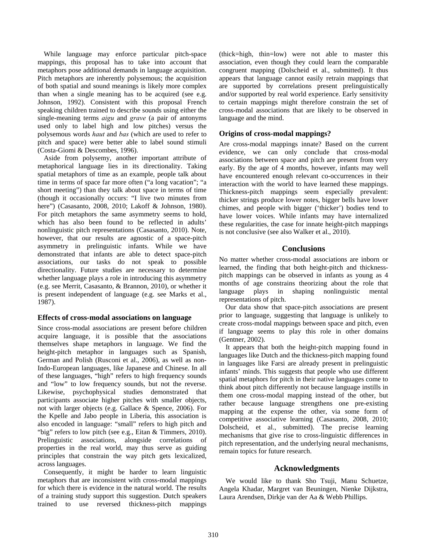While language may enforce particular pitch-space mappings, this proposal has to take into account that metaphors pose additional demands in language acquisition. Pitch metaphors are inherently polysemous; the acquisition of both spatial and sound meanings is likely more complex than when a single meaning has to be acquired (see e.g. Johnson, 1992). Consistent with this proposal French speaking children trained to describe sounds using either the single-meaning terms *aigu* and *grave* (a pair of antonyms used only to label high and low pitches) versus the polysemous words *haut* and *bas* (which are used to refer to pitch and space) were better able to label sound stimuli (Costa-Giomi & Descombes, 1996).

Aside from polysemy, another important attribute of metaphorical language lies in its directionality. Taking spatial metaphors of time as an example, people talk about time in terms of space far more often ("a long vacation"; "a short meeting") than they talk about space in terms of time (though it occasionally occurs: "I live two minutes from here") (Casasanto, 2008, 2010; Lakoff & Johnson, 1980). For pitch metaphors the same asymmetry seems to hold, which has also been found to be reflected in adults' nonlinguistic pitch representations (Casasanto, 2010). Note, however, that our results are agnostic of a space-pitch asymmetry in prelinguistic infants. While we have demonstrated that infants are able to detect space-pitch associations, our tasks do not speak to possible directionality. Future studies are necessary to determine whether language plays a role in introducing this asymmetry (e.g. see Merrit, Casasanto, & Brannon, 2010), or whether it is present independent of language (e.g. see Marks et al., 1987).

#### **Effects of cross-modal associations on language**

Since cross-modal associations are present before children acquire language, it is possible that the associations themselves shape metaphors in language. We find the height-pitch metaphor in languages such as Spanish, German and Polish (Rusconi et al., 2006), as well as non-Indo-European languages, like Japanese and Chinese. In all of these languages, "high" refers to high frequency sounds and "low" to low frequency sounds, but not the reverse. Likewise, psychophysical studies demonstrated that participants associate higher pitches with smaller objects, not with larger objects (e.g. Gallace & Spence, 2006). For the Kpelle and Jabo people in Liberia, this association is also encoded in language: "small" refers to high pitch and "big" refers to low pitch (see e.g., Eitan & Timmers, 2010). Prelinguistic associations, alongside correlations of properties in the real world, may thus serve as guiding principles that constrain the way pitch gets lexicalized, across languages.

Consequently, it might be harder to learn linguistic metaphors that are inconsistent with cross-modal mappings for which there is evidence in the natural world. The results of a training study support this suggestion. Dutch speakers trained to use reversed thickness-pitch mappings (thick=high, thin=low) were not able to master this association, even though they could learn the comparable congruent mapping (Dolscheid et al., submitted). It thus appears that language cannot easily retrain mappings that are supported by correlations present prelinguistically and/or supported by real world experience. Early sensitivity to certain mappings might therefore constrain the set of cross-modal associations that are likely to be observed in language and the mind.

## **Origins of cross-modal mappings?**

Are cross-modal mappings innate? Based on the current evidence, we can only conclude that cross-modal associations between space and pitch are present from very early. By the age of 4 months, however, infants may well have encountered enough relevant co-occurrences in their interaction with the world to have learned these mappings. Thickness-pitch mappings seem especially prevalent: thicker strings produce lower notes, bigger bells have lower chimes, and people with bigger ('thicker') bodies tend to have lower voices. While infants may have internalized these regularities, the case for innate height-pitch mappings is not conclusive (see also Walker et al., 2010).

## **Conclusions**

No matter whether cross-modal associations are inborn or learned, the finding that both height-pitch and thicknesspitch mappings can be observed in infants as young as 4 months of age constrains theorizing about the role that language plays in shaping nonlinguistic mental representations of pitch.

Our data show that space-pitch associations are present prior to language, suggesting that language is unlikely to create cross-modal mappings between space and pitch, even if language seems to play this role in other domains (Gentner, 2002).

It appears that both the height-pitch mapping found in languages like Dutch and the thickness-pitch mapping found in languages like Farsi are already present in prelinguistic infants' minds. This suggests that people who use different spatial metaphors for pitch in their native languages come to think about pitch differently not because language instills in them one cross-modal mapping instead of the other, but rather because language strengthens one pre-existing mapping at the expense the other, via some form of competitive associative learning (Casasanto, 2008, 2010; Dolscheid, et al., submitted). The precise learning mechanisms that give rise to cross-linguistic differences in pitch representation, and the underlying neural mechanisms, remain topics for future research.

#### **Acknowledgments**

We would like to thank Sho Tsuji, Manu Schuetze, Angela Khadar, Margret van Beuningen, Nienke Dijkstra, Laura Arendsen, Dirkje van der Aa & Webb Phillips.